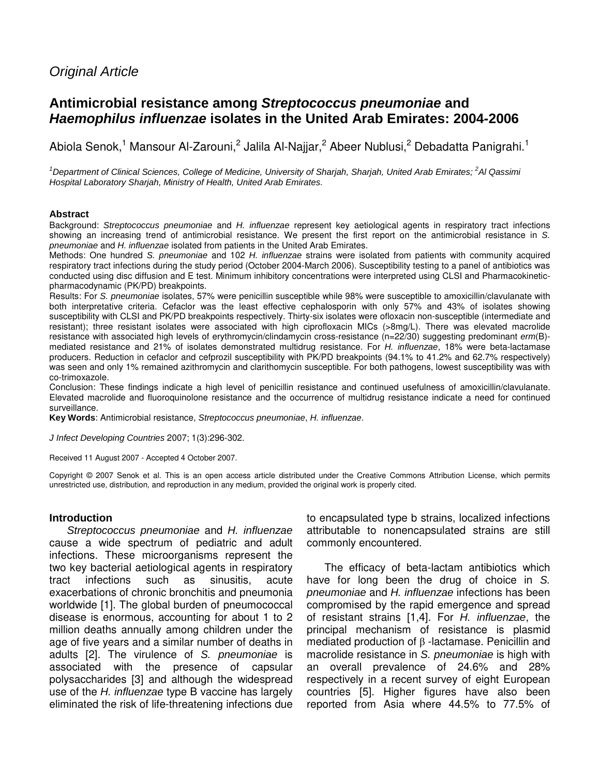# Original Article

# **Antimicrobial resistance among Streptococcus pneumoniae and Haemophilus influenzae isolates in the United Arab Emirates: 2004-2006**

Abiola Senok,<sup>1</sup> Mansour Al-Zarouni,<sup>2</sup> Jalila Al-Najjar,<sup>2</sup> Abeer Nublusi,<sup>2</sup> Debadatta Panigrahi.<sup>1</sup>

 $1$ Department of Clinical Sciences, College of Medicine, University of Sharjah, Sharjah, United Arab Emirates;  $2$ Al Qassimi Hospital Laboratory Sharjah, Ministry of Health, United Arab Emirates.

#### **Abstract**

Background: Streptococcus pneumoniae and H. influenzae represent key aetiological agents in respiratory tract infections showing an increasing trend of antimicrobial resistance. We present the first report on the antimicrobial resistance in S. pneumoniae and H. influenzae isolated from patients in the United Arab Emirates.

Methods: One hundred S. pneumoniae and 102 H. influenzae strains were isolated from patients with community acquired respiratory tract infections during the study period (October 2004-March 2006). Susceptibility testing to a panel of antibiotics was conducted using disc diffusion and E test. Minimum inhibitory concentrations were interpreted using CLSI and Pharmacokineticpharmacodynamic (PK/PD) breakpoints.

Results: For S. pneumoniae isolates, 57% were penicillin susceptible while 98% were susceptible to amoxicillin/clavulanate with both interpretative criteria. Cefaclor was the least effective cephalosporin with only 57% and 43% of isolates showing susceptibility with CLSI and PK/PD breakpoints respectively. Thirty-six isolates were ofloxacin non-susceptible (intermediate and resistant); three resistant isolates were associated with high ciprofloxacin MICs (>8mg/L). There was elevated macrolide resistance with associated high levels of erythromycin/clindamycin cross-resistance (n=22/30) suggesting predominant erm(B)mediated resistance and 21% of isolates demonstrated multidrug resistance. For H. influenzae, 18% were beta-lactamase producers. Reduction in cefaclor and cefprozil susceptibility with PK/PD breakpoints (94.1% to 41.2% and 62.7% respectively) was seen and only 1% remained azithromycin and clarithomycin susceptible. For both pathogens, lowest susceptibility was with co-trimoxazole.

Conclusion: These findings indicate a high level of penicillin resistance and continued usefulness of amoxicillin/clavulanate. Elevated macrolide and fluoroquinolone resistance and the occurrence of multidrug resistance indicate a need for continued surveillance.

**Key Words**: Antimicrobial resistance, Streptococcus pneumoniae, H. influenzae.

J Infect Developing Countries 2007; 1(3):296-302.

Received 11 August 2007 - Accepted 4 October 2007.

Copyright © 2007 Senok et al. This is an open access article distributed under the Creative Commons Attribution License, which permits unrestricted use, distribution, and reproduction in any medium, provided the original work is properly cited.

#### **Introduction**

Streptococcus pneumoniae and H. influenzae cause a wide spectrum of pediatric and adult infections. These microorganisms represent the two key bacterial aetiological agents in respiratory tract infections such as sinusitis, acute exacerbations of chronic bronchitis and pneumonia worldwide [1]. The global burden of pneumococcal disease is enormous, accounting for about 1 to 2 million deaths annually among children under the age of five years and a similar number of deaths in adults [2]. The virulence of S. pneumoniae is associated with the presence of capsular polysaccharides [3] and although the widespread use of the H. influenzae type B vaccine has largely eliminated the risk of life-threatening infections due to encapsulated type b strains, localized infections attributable to nonencapsulated strains are still commonly encountered.

The efficacy of beta-lactam antibiotics which have for long been the drug of choice in S. pneumoniae and H. influenzae infections has been compromised by the rapid emergence and spread of resistant strains [1,4]. For H. influenzae, the principal mechanism of resistance is plasmid mediated production of β -lactamase. Penicillin and macrolide resistance in S. *pneumoniae* is high with an overall prevalence of 24.6% and 28% respectively in a recent survey of eight European countries [5]. Higher figures have also been reported from Asia where 44.5% to 77.5% of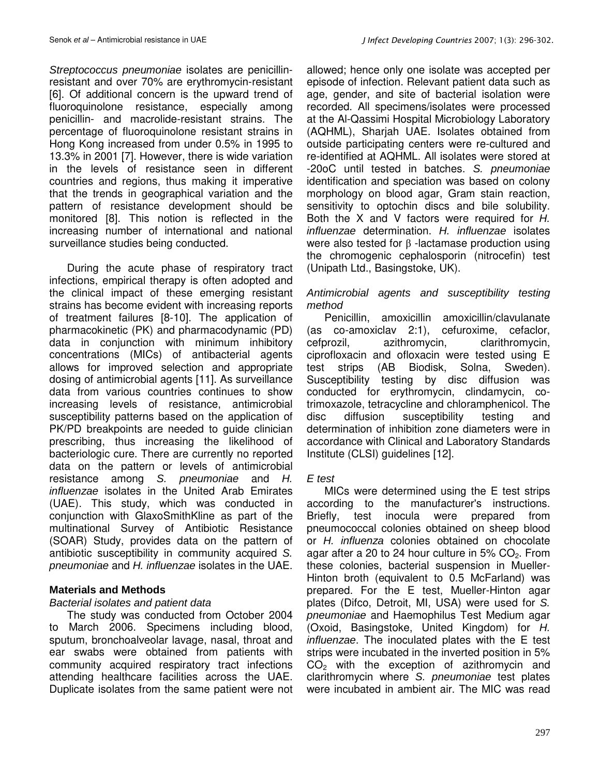Streptococcus pneumoniae isolates are penicillinresistant and over 70% are erythromycin-resistant [6]. Of additional concern is the upward trend of fluoroquinolone resistance, especially among penicillin- and macrolide-resistant strains. The percentage of fluoroquinolone resistant strains in Hong Kong increased from under 0.5% in 1995 to 13.3% in 2001 [7]. However, there is wide variation in the levels of resistance seen in different countries and regions, thus making it imperative that the trends in geographical variation and the pattern of resistance development should be monitored [8]. This notion is reflected in the increasing number of international and national surveillance studies being conducted.

During the acute phase of respiratory tract infections, empirical therapy is often adopted and the clinical impact of these emerging resistant strains has become evident with increasing reports of treatment failures [8-10]. The application of pharmacokinetic (PK) and pharmacodynamic (PD) data in conjunction with minimum inhibitory concentrations (MICs) of antibacterial agents allows for improved selection and appropriate dosing of antimicrobial agents [11]. As surveillance data from various countries continues to show increasing levels of resistance, antimicrobial susceptibility patterns based on the application of PK/PD breakpoints are needed to guide clinician prescribing, thus increasing the likelihood of bacteriologic cure. There are currently no reported data on the pattern or levels of antimicrobial resistance among S. pneumoniae and H. influenzae isolates in the United Arab Emirates (UAE). This study, which was conducted in conjunction with GlaxoSmithKline as part of the multinational Survey of Antibiotic Resistance (SOAR) Study, provides data on the pattern of antibiotic susceptibility in community acquired S. pneumoniae and H. influenzae isolates in the UAE.

## **Materials and Methods**

## Bacterial isolates and patient data

The study was conducted from October 2004 to March 2006. Specimens including blood, sputum, bronchoalveolar lavage, nasal, throat and ear swabs were obtained from patients with community acquired respiratory tract infections attending healthcare facilities across the UAE. Duplicate isolates from the same patient were not allowed; hence only one isolate was accepted per episode of infection. Relevant patient data such as age, gender, and site of bacterial isolation were recorded. All specimens/isolates were processed at the Al-Qassimi Hospital Microbiology Laboratory (AQHML), Sharjah UAE. Isolates obtained from outside participating centers were re-cultured and re-identified at AQHML. All isolates were stored at -20oC until tested in batches. S. pneumoniae identification and speciation was based on colony morphology on blood agar, Gram stain reaction, sensitivity to optochin discs and bile solubility. Both the X and V factors were required for H. influenzae determination. H. influenzae isolates were also tested for β -lactamase production using the chromogenic cephalosporin (nitrocefin) test (Unipath Ltd., Basingstoke, UK).

## Antimicrobial agents and susceptibility testing method

Penicillin, amoxicillin amoxicillin/clavulanate (as co-amoxiclav 2:1), cefuroxime, cefaclor, cefprozil, azithromycin, clarithromycin, ciprofloxacin and ofloxacin were tested using E test strips (AB Biodisk, Solna, Sweden). Susceptibility testing by disc diffusion was conducted for erythromycin, clindamycin, cotrimoxazole, tetracycline and chloramphenicol. The disc diffusion susceptibility testing and determination of inhibition zone diameters were in accordance with Clinical and Laboratory Standards Institute (CLSI) guidelines [12].

## E test

MICs were determined using the E test strips according to the manufacturer's instructions. Briefly, test inocula were prepared from pneumococcal colonies obtained on sheep blood or H. influenza colonies obtained on chocolate agar after a 20 to 24 hour culture in  $5\%$  CO<sub>2</sub>. From these colonies, bacterial suspension in Mueller-Hinton broth (equivalent to 0.5 McFarland) was prepared. For the E test, Mueller-Hinton agar plates (Difco, Detroit, MI, USA) were used for S. pneumoniae and Haemophilus Test Medium agar (Oxoid, Basingstoke, United Kingdom) for H. influenzae. The inoculated plates with the E test strips were incubated in the inverted position in 5%  $CO<sub>2</sub>$  with the exception of azithromycin and clarithromycin where S. pneumoniae test plates were incubated in ambient air. The MIC was read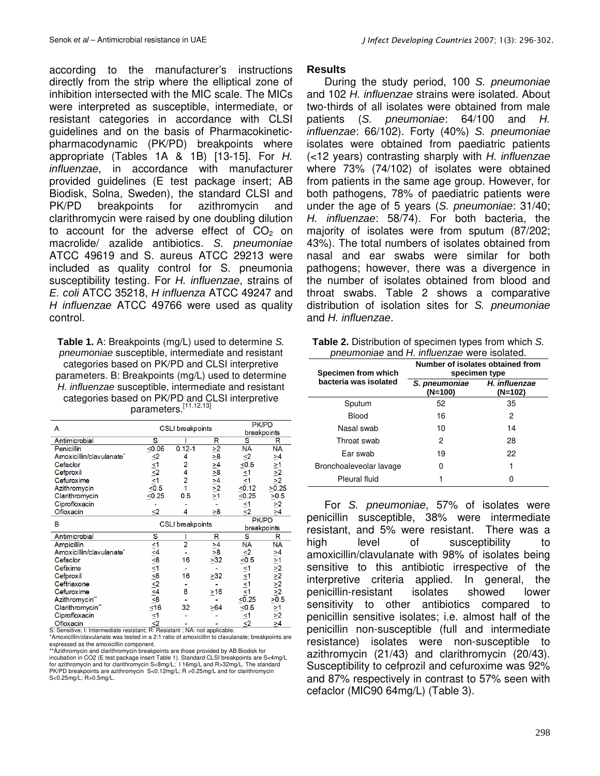according to the manufacturer's instructions directly from the strip where the elliptical zone of inhibition intersected with the MIC scale. The MICs were interpreted as susceptible, intermediate, or resistant categories in accordance with CLSI guidelines and on the basis of Pharmacokineticpharmacodynamic (PK/PD) breakpoints where appropriate (Tables 1A & 1B) [13-15]. For H. influenzae, in accordance with manufacturer provided guidelines (E test package insert; AB Biodisk, Solna, Sweden), the standard CLSI and PK/PD breakpoints for azithromycin and clarithromycin were raised by one doubling dilution to account for the adverse effect of  $CO<sub>2</sub>$  on macrolide/ azalide antibiotics. S. pneumoniae ATCC 49619 and S. aureus ATCC 29213 were included as quality control for S. pneumonia susceptibility testing. For H. influenzae, strains of E. coli ATCC 35218, H influenza ATCC 49247 and H influenzae ATCC 49766 were used as quality control.

**Table 1.** A: Breakpoints (mg/L) used to determine S. pneumoniae susceptible, intermediate and resistant categories based on PK/PD and CLSI interpretive parameters. B: Breakpoints (mg/L) used to determine H. influenzae susceptible, intermediate and resistant categories based on PK/PD and CLSI interpretive parameters.<sup>[11.12.13]</sup>

| A                            |                                                                                                                                                                                         | <b>CSLI</b> breakpoints | <b>PK/PD</b>                                                                  |                                                                                                                                      |                                                                           |  |
|------------------------------|-----------------------------------------------------------------------------------------------------------------------------------------------------------------------------------------|-------------------------|-------------------------------------------------------------------------------|--------------------------------------------------------------------------------------------------------------------------------------|---------------------------------------------------------------------------|--|
|                              |                                                                                                                                                                                         |                         | breakpoints                                                                   |                                                                                                                                      |                                                                           |  |
| Antimicrobial                | s                                                                                                                                                                                       |                         | R                                                                             | S                                                                                                                                    | R                                                                         |  |
| Penicillin                   | < 0.06                                                                                                                                                                                  | $0.12 - 1$              |                                                                               | <b>NA</b>                                                                                                                            | <b>NA</b>                                                                 |  |
| Amoxicillin/clavulanate*     | $\frac{1}{2}$<br>$\frac{1}{2}$<br>$\frac{1}{2}$<br>$\frac{1}{2}$<br>$\frac{1}{2}$<br>$\frac{1}{2}$<br>$\frac{1}{2}$<br>$\frac{1}{2}$<br>$\frac{1}{2}$<br>$\frac{1}{2}$<br>$\frac{1}{2}$ | 4                       | $\frac{\geq 2}{\geq 8}$<br>$\frac{\geq 2}{\geq 1}$<br>$\frac{\geq 2}{\geq 1}$ | $\leq 2$<br>$\leq 0.5$                                                                                                               |                                                                           |  |
| Cefaclor                     |                                                                                                                                                                                         | 2                       |                                                                               |                                                                                                                                      |                                                                           |  |
| Cefproxil                    |                                                                                                                                                                                         |                         |                                                                               | ≤1                                                                                                                                   | $\frac{>4}{>12}$<br>$\frac{>1}{>2}$<br>$\frac{>2}{>2}$                    |  |
| Cefuroxime                   |                                                                                                                                                                                         | 2                       |                                                                               |                                                                                                                                      |                                                                           |  |
| Azithromycin                 |                                                                                                                                                                                         |                         |                                                                               | $\leq \frac{51}{0.12}$                                                                                                               | >0.25                                                                     |  |
| Clarithromycin               | < 0.25                                                                                                                                                                                  | 0.5                     |                                                                               | < 0.25                                                                                                                               | >0.5                                                                      |  |
| Ciprofloxacin                |                                                                                                                                                                                         |                         |                                                                               | $\frac{1}{2}$                                                                                                                        | $\frac{>2}{>4}$                                                           |  |
| Ofloxacin                    | <2                                                                                                                                                                                      | 4                       | >8                                                                            |                                                                                                                                      |                                                                           |  |
| в                            |                                                                                                                                                                                         |                         |                                                                               | <b>PK/PD</b>                                                                                                                         |                                                                           |  |
|                              | <b>CSLI</b> breakpoints                                                                                                                                                                 |                         |                                                                               | breakpoints                                                                                                                          |                                                                           |  |
| Antimicrobial                | s                                                                                                                                                                                       |                         | R                                                                             | S                                                                                                                                    | R                                                                         |  |
| <b>Ampicillin</b>            |                                                                                                                                                                                         | $\overline{2}$          | $\frac{\geq 4}{\geq 8}$<br>$\geq 32$                                          | <b>NA</b>                                                                                                                            | <b>NA</b>                                                                 |  |
| Amoxicillin/clavulanate*     |                                                                                                                                                                                         |                         |                                                                               | $\leq 2$<br>$\leq 0.5$                                                                                                               |                                                                           |  |
| Cefaclor                     |                                                                                                                                                                                         | 16                      |                                                                               |                                                                                                                                      |                                                                           |  |
| Cefixime                     |                                                                                                                                                                                         |                         |                                                                               |                                                                                                                                      |                                                                           |  |
| Cefproxil                    |                                                                                                                                                                                         | 16                      | >32                                                                           |                                                                                                                                      | $\frac{\geq 4}{\geq 1}$ $\frac{\geq 7}{\geq 2}$ $\frac{\geq 2}{\geq 0.5}$ |  |
| Ceftriaxone                  |                                                                                                                                                                                         |                         |                                                                               |                                                                                                                                      |                                                                           |  |
| Cefuroxime                   |                                                                                                                                                                                         | 8                       | $\geq 16$                                                                     |                                                                                                                                      |                                                                           |  |
| Azithromycin*                | $\frac{13}{21}$<br>$\frac{13}{21}$<br>$\frac{13}{21}$<br>$\frac{13}{21}$<br>$\frac{13}{21}$<br>$\frac{13}{21}$                                                                          |                         |                                                                               | $\frac{1}{3}$<br>$\frac{1}{3}$<br>$\frac{1}{4}$<br>$\frac{1}{4}$<br>$\frac{1}{2}$<br>$\frac{1}{2}$<br>$\frac{1}{2}$<br>$\frac{1}{2}$ |                                                                           |  |
| Clarithromycin <sup>**</sup> |                                                                                                                                                                                         | 32                      | >64                                                                           | $≤0.5$                                                                                                                               | $\frac{\geq 1}{\geq 2}$<br>$>4$                                           |  |
| Ciprofloxacin                | $\leq 1$<br>$\leq 2$                                                                                                                                                                    |                         |                                                                               | $\frac{1}{2}$                                                                                                                        |                                                                           |  |
| Ofloxacin                    |                                                                                                                                                                                         |                         |                                                                               |                                                                                                                                      |                                                                           |  |

S: Sensitive; I: Intermediate resistant; R: Resistant ; NA: not applicable. \*Amoxicillin/clavulanate was tested in a 2:1 ratio of amoxicillin to clavulanate; breakpoints are

expressed as the amoxicillin component. \*\*Azithromycin and clarithromycin breakpoints are those provided by AB Biodisk for incubation in CO2 (E test package insert Table 1). Standard CLSI breakpoints are S<4mg/L for azithromycin and for clarithromycin S<8mg/L; I 16mg/L and R>32mg/L. The standard PK/PD breakpoints are azithromycin S<0.12mg/L; R >0.25mg/L and for clarithromycin S<0.25mg/L; R>0.5mg/L.

### **Results**

During the study period, 100 S. pneumoniae and 102 H. influenzae strains were isolated. About two-thirds of all isolates were obtained from male patients (S. pneumoniae: 64/100 and H. influenzae: 66/102). Forty (40%) S. pneumoniae isolates were obtained from paediatric patients (<12 years) contrasting sharply with H. influenzae where 73% (74/102) of isolates were obtained from patients in the same age group. However, for both pathogens, 78% of paediatric patients were under the age of 5 years (S. pneumoniae: 31/40; H. influenzae: 58/74). For both bacteria, the majority of isolates were from sputum (87/202; 43%). The total numbers of isolates obtained from nasal and ear swabs were similar for both pathogens; however, there was a divergence in the number of isolates obtained from blood and throat swabs. Table 2 shows a comparative distribution of isolation sites for S. pneumoniae and H. influenzae.

| Table 2. Distribution of specimen types from which S. |
|-------------------------------------------------------|
| pneumoniae and H. influenzae were isolated.           |

| Specimen from which     | Number of isolates obtained from<br>specimen type |                          |  |  |  |
|-------------------------|---------------------------------------------------|--------------------------|--|--|--|
| bacteria was isolated   | S. pneumoniae<br>$(N=100)$                        | H. influenzae<br>(N=102) |  |  |  |
| Sputum                  | 52                                                | 35                       |  |  |  |
| Blood                   | 16                                                | 2                        |  |  |  |
| Nasal swab              | 10                                                | 14                       |  |  |  |
| Throat swab             | 2                                                 | 28                       |  |  |  |
| Ear swab                | 19                                                | 22                       |  |  |  |
| Bronchoaleveolar lavage |                                                   |                          |  |  |  |
| Pleural fluid           |                                                   |                          |  |  |  |

For S. pneumoniae, 57% of isolates were penicillin susceptible, 38% were intermediate resistant, and 5% were resistant. There was a high level of susceptibility to amoxicillin/clavulanate with 98% of isolates being sensitive to this antibiotic irrespective of the interpretive criteria applied. In general, the penicillin-resistant isolates showed lower sensitivity to other antibiotics compared to penicillin sensitive isolates; i.e. almost half of the penicillin non-susceptible (full and intermediate resistance) isolates were non-susceptible to azithromycin (21/43) and clarithromycin (20/43). Susceptibility to cefprozil and cefuroxime was 92% and 87% respectively in contrast to 57% seen with cefaclor (MIC90 64mg/L) (Table 3).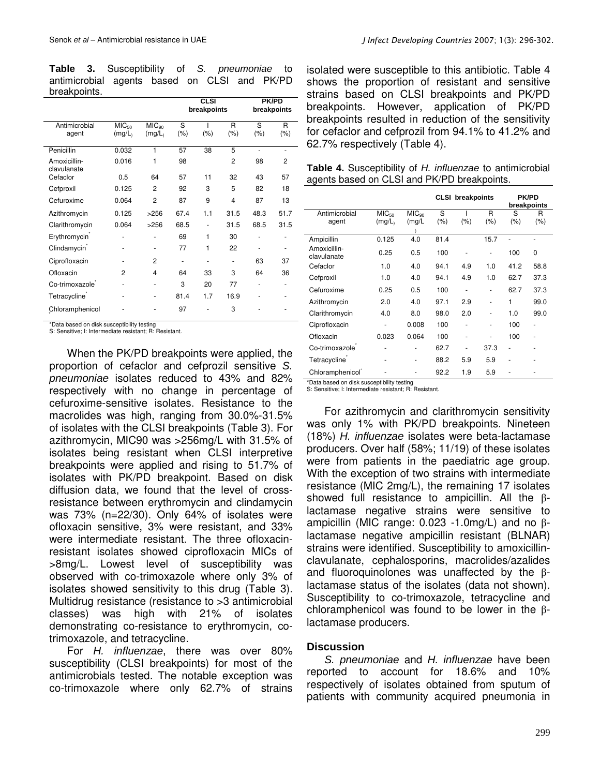**Table 3.** Susceptibility of S. pneumoniae to antimicrobial agents based on CLSI and PK/PD breakpoints.

|                             |                   |                   | <b>CLSI</b> |             | <b>PK/PD</b> |         |                |  |
|-----------------------------|-------------------|-------------------|-------------|-------------|--------------|---------|----------------|--|
|                             |                   |                   |             | breakpoints |              |         | breakpoints    |  |
| Antimicrobial               | MIC <sub>50</sub> | MIC <sub>90</sub> | S           |             | R            | S       | R              |  |
| agent                       | (mg/L)            | (mg/L)            | $(\% )$     | $(\% )$     | (%)          | $(\% )$ | $(\% )$        |  |
| Penicillin                  | 0.032             | 1                 | 57          | 38          | 5            | ä,      | ٠              |  |
| Amoxicillin-<br>clavulanate | 0.016             | 1                 | 98          |             | 2            | 98      | $\overline{c}$ |  |
| Cefaclor                    | 0.5               | 64                | 57          | 11          | 32           | 43      | 57             |  |
| Cefproxil                   | 0.125             | $\overline{2}$    | 92          | 3           | 5            | 82      | 18             |  |
| Cefuroxime                  | 0.064             | $\overline{c}$    | 87          | 9           | 4            | 87      | 13             |  |
| Azithromycin                | 0.125             | >256              | 67.4        | 1.1         | 31.5         | 48.3    | 51.7           |  |
| Clarithromycin              | 0.064             | >256              | 68.5        |             | 31.5         | 68.5    | 31.5           |  |
| Erythromycin <sup>®</sup>   |                   | -                 | 69          | 1           | 30           |         | ٠              |  |
| Clindamycin <sup>®</sup>    |                   |                   | 77          | 1           | 22           |         | ٠              |  |
| Ciprofloxacin               |                   | 2                 | ٠           |             |              | 63      | 37             |  |
| Ofloxacin                   | $\overline{2}$    | $\overline{4}$    | 64          | 33          | 3            | 64      | 36             |  |
| Co-trimoxazole <sup>-</sup> |                   | -                 | 3           | 20          | 77           | ٠       | ٠              |  |
| Tetracycline <sup>®</sup>   | ٠                 |                   | 81.4        | 1.7         | 16.9         |         | ٠              |  |
| Chloramphenicol             |                   |                   | 97          |             | 3            |         |                |  |

\*Data based on disk susceptibility testing S: Sensitive; I: Intermediate resistant; R: Resistant.

When the PK/PD breakpoints were applied, the proportion of cefaclor and cefprozil sensitive S. pneumoniae isolates reduced to 43% and 82% respectively with no change in percentage of cefuroxime-sensitive isolates. Resistance to the macrolides was high, ranging from 30.0%-31.5% of isolates with the CLSI breakpoints (Table 3). For azithromycin, MIC90 was >256mg/L with 31.5% of isolates being resistant when CLSI interpretive breakpoints were applied and rising to 51.7% of isolates with PK/PD breakpoint. Based on disk diffusion data, we found that the level of crossresistance between erythromycin and clindamycin was 73% (n=22/30). Only 64% of isolates were ofloxacin sensitive, 3% were resistant, and 33% were intermediate resistant. The three ofloxacinresistant isolates showed ciprofloxacin MICs of >8mg/L. Lowest level of susceptibility was observed with co-trimoxazole where only 3% of isolates showed sensitivity to this drug (Table 3). Multidrug resistance (resistance to >3 antimicrobial classes) was high with 21% of isolates demonstrating co-resistance to erythromycin, cotrimoxazole, and tetracycline.

For H. influenzae, there was over 80% susceptibility (CLSI breakpoints) for most of the antimicrobials tested. The notable exception was co-trimoxazole where only 62.7% of strains isolated were susceptible to this antibiotic. Table 4 shows the proportion of resistant and sensitive strains based on CLSI breakpoints and PK/PD breakpoints. However, application of PK/PD breakpoints resulted in reduction of the sensitivity for cefaclor and cefprozil from 94.1% to 41.2% and 62.7% respectively (Table 4).

| Table 4. Susceptibility of H. influenzae to antimicrobial |
|-----------------------------------------------------------|
| agents based on CLSI and PK/PD breakpoints.               |

|                                                                            |                             |                             | <b>CLSI</b> breakpoints |         |              | <b>PK/PD</b><br>breakpoints |                          |
|----------------------------------------------------------------------------|-----------------------------|-----------------------------|-------------------------|---------|--------------|-----------------------------|--------------------------|
| Antimicrobial<br>agent                                                     | MIC <sub>50</sub><br>(mg/L) | MIC <sub>90</sub><br>(mg/L) | S<br>(% )               | $(\% )$ | R<br>$(\% )$ | S<br>$(\% )$                | R<br>(%)                 |
| Ampicillin                                                                 | 0.125                       | 4.0                         | 81.4                    |         | 15.7         |                             |                          |
| Amoxicillin-<br>clavulanate                                                | 0.25                        | 0.5                         | 100                     | ۰       | ٠            | 100                         | 0                        |
| Cefaclor                                                                   | 1.0                         | 4.0                         | 94.1                    | 4.9     | 1.0          | 41.2                        | 58.8                     |
| Cefproxil                                                                  | 1.0                         | 4.0                         | 94.1                    | 4.9     | 1.0          | 62.7                        | 37.3                     |
| Cefuroxime                                                                 | 0.25                        | 0.5                         | 100                     | ٠       | ä,           | 62.7                        | 37.3                     |
| Azithromycin                                                               | 2.0                         | 4.0                         | 97.1                    | 2.9     | ٠            | 1                           | 99.0                     |
| Clarithromycin                                                             | 4.0                         | 8.0                         | 98.0                    | 2.0     | ä,           | 1.0                         | 99.0                     |
| Ciprofloxacin                                                              | ٠                           | 0.008                       | 100                     | ٠       | ٠            | 100                         | $\overline{\phantom{m}}$ |
| Ofloxacin                                                                  | 0.023                       | 0.064                       | 100                     | ۰       | ä,           | 100                         | ٠                        |
| Co-trimoxazole                                                             |                             |                             | 62.7                    | ä,      | 37.3         |                             | ٠                        |
| Tetracycline <sup>®</sup>                                                  |                             |                             | 88.2                    | 5.9     | 5.9          |                             | ٠                        |
| Chloramphenicol <sup>®</sup><br>*Data bacod on diek succontibility toeting |                             |                             | 92.2                    | 1.9     | 5.9          |                             |                          |

\*Data based on disk susceptibility testing S: Sensitive; I: Intermediate resistant; R: Resistant.

For azithromycin and clarithromycin sensitivity was only 1% with PK/PD breakpoints. Nineteen (18%) H. influenzae isolates were beta-lactamase producers. Over half (58%; 11/19) of these isolates were from patients in the paediatric age group. With the exception of two strains with intermediate resistance (MIC 2mg/L), the remaining 17 isolates showed full resistance to ampicillin. All the βlactamase negative strains were sensitive to ampicillin (MIC range: 0.023 -1.0mg/L) and no βlactamase negative ampicillin resistant (BLNAR) strains were identified. Susceptibility to amoxicillinclavulanate, cephalosporins, macrolides/azalides and fluoroquinolones was unaffected by the βlactamase status of the isolates (data not shown). Susceptibility to co-trimoxazole, tetracycline and chloramphenicol was found to be lower in the βlactamase producers.

#### **Discussion**

S. pneumoniae and H. influenzae have been reported to account for 18.6% and 10% respectively of isolates obtained from sputum of patients with community acquired pneumonia in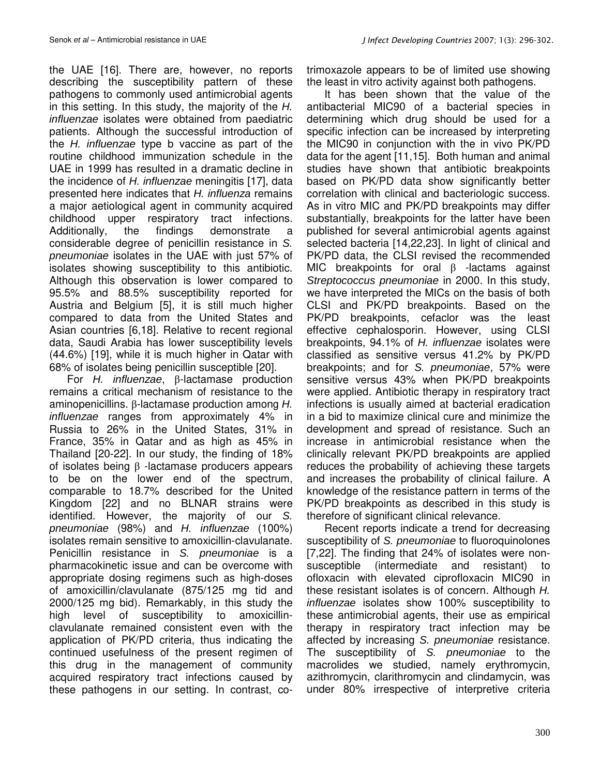the UAE [16]. There are, however, no reports describing the susceptibility pattern of these pathogens to commonly used antimicrobial agents in this setting. In this study, the majority of the H. influenzae isolates were obtained from paediatric patients. Although the successful introduction of the H. influenzae type b vaccine as part of the routine childhood immunization schedule in the UAE in 1999 has resulted in a dramatic decline in the incidence of H. influenzae meningitis [17], data presented here indicates that H. influenza remains a major aetiological agent in community acquired childhood upper respiratory tract infections. Additionally, the findings demonstrate a considerable degree of penicillin resistance in S. pneumoniae isolates in the UAE with just 57% of isolates showing susceptibility to this antibiotic. Although this observation is lower compared to 95.5% and 88.5% susceptibility reported for Austria and Belgium [5], it is still much higher compared to data from the United States and Asian countries [6,18]. Relative to recent regional data, Saudi Arabia has lower susceptibility levels (44.6%) [19], while it is much higher in Qatar with 68% of isolates being penicillin susceptible [20].

For H. influenzae, β-lactamase production remains a critical mechanism of resistance to the aminopenicillins. β-lactamase production among H. influenzae ranges from approximately 4% in Russia to 26% in the United States, 31% in France, 35% in Qatar and as high as 45% in Thailand [20-22]. In our study, the finding of 18% of isolates being β -lactamase producers appears to be on the lower end of the spectrum, comparable to 18.7% described for the United Kingdom [22] and no BLNAR strains were identified. However, the majority of our S. pneumoniae (98%) and H. influenzae (100%) isolates remain sensitive to amoxicillin-clavulanate. Penicillin resistance in S. *pneumoniae* is a pharmacokinetic issue and can be overcome with appropriate dosing regimens such as high-doses of amoxicillin/clavulanate (875/125 mg tid and 2000/125 mg bid). Remarkably, in this study the high level of susceptibility to amoxicillinclavulanate remained consistent even with the application of PK/PD criteria, thus indicating the continued usefulness of the present regimen of this drug in the management of community acquired respiratory tract infections caused by these pathogens in our setting. In contrast, co-

trimoxazole appears to be of limited use showing the least in vitro activity against both pathogens.

It has been shown that the value of the antibacterial MIC90 of a bacterial species in determining which drug should be used for a specific infection can be increased by interpreting the MIC90 in conjunction with the in vivo PK/PD data for the agent [11,15]. Both human and animal studies have shown that antibiotic breakpoints based on PK/PD data show significantly better correlation with clinical and bacteriologic success. As in vitro MIC and PK/PD breakpoints may differ substantially, breakpoints for the latter have been published for several antimicrobial agents against selected bacteria [14,22,23]. In light of clinical and PK/PD data, the CLSI revised the recommended MIC breakpoints for oral β -lactams against Streptococcus pneumoniae in 2000. In this study, we have interpreted the MICs on the basis of both CLSI and PK/PD breakpoints. Based on the PK/PD breakpoints, cefaclor was the least effective cephalosporin. However, using CLSI breakpoints, 94.1% of H. influenzae isolates were classified as sensitive versus 41.2% by PK/PD breakpoints; and for S. pneumoniae, 57% were sensitive versus 43% when PK/PD breakpoints were applied. Antibiotic therapy in respiratory tract infections is usually aimed at bacterial eradication in a bid to maximize clinical cure and minimize the development and spread of resistance. Such an increase in antimicrobial resistance when the clinically relevant PK/PD breakpoints are applied reduces the probability of achieving these targets and increases the probability of clinical failure. A knowledge of the resistance pattern in terms of the PK/PD breakpoints as described in this study is therefore of significant clinical relevance.

Recent reports indicate a trend for decreasing susceptibility of S. *pneumoniae* to fluoroquinolones [7,22]. The finding that 24% of isolates were nonsusceptible (intermediate and resistant) to ofloxacin with elevated ciprofloxacin MIC90 in these resistant isolates is of concern. Although H. influenzae isolates show 100% susceptibility to these antimicrobial agents, their use as empirical therapy in respiratory tract infection may be affected by increasing S. pneumoniae resistance. The susceptibility of S. pneumoniae to the macrolides we studied, namely erythromycin, azithromycin, clarithromycin and clindamycin, was under 80% irrespective of interpretive criteria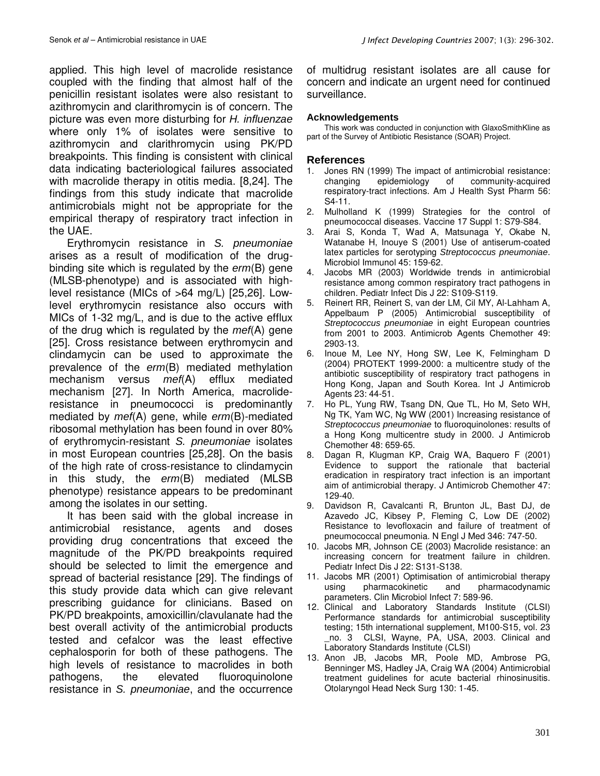applied. This high level of macrolide resistance coupled with the finding that almost half of the penicillin resistant isolates were also resistant to azithromycin and clarithromycin is of concern. The picture was even more disturbing for H. influenzae where only 1% of isolates were sensitive to azithromycin and clarithromycin using PK/PD breakpoints. This finding is consistent with clinical data indicating bacteriological failures associated with macrolide therapy in otitis media. [8,24]. The findings from this study indicate that macrolide antimicrobials might not be appropriate for the empirical therapy of respiratory tract infection in the UAE.

Erythromycin resistance in S. pneumoniae arises as a result of modification of the drugbinding site which is regulated by the erm(B) gene (MLSB-phenotype) and is associated with highlevel resistance (MICs of >64 mg/L) [25,26]. Lowlevel erythromycin resistance also occurs with MICs of 1-32 mg/L, and is due to the active efflux of the drug which is regulated by the  $mef(A)$  gene [25]. Cross resistance between erythromycin and clindamycin can be used to approximate the prevalence of the erm(B) mediated methylation mechanism versus mef(A) efflux mediated mechanism [27]. In North America, macrolideresistance in pneumococci is predominantly mediated by mef(A) gene, while erm(B)-mediated ribosomal methylation has been found in over 80% of erythromycin-resistant S. pneumoniae isolates in most European countries [25,28]. On the basis of the high rate of cross-resistance to clindamycin in this study, the erm(B) mediated (MLSB phenotype) resistance appears to be predominant among the isolates in our setting.

It has been said with the global increase in antimicrobial resistance, agents and doses providing drug concentrations that exceed the magnitude of the PK/PD breakpoints required should be selected to limit the emergence and spread of bacterial resistance [29]. The findings of this study provide data which can give relevant prescribing guidance for clinicians. Based on PK/PD breakpoints, amoxicillin/clavulanate had the best overall activity of the antimicrobial products tested and cefalcor was the least effective cephalosporin for both of these pathogens. The high levels of resistance to macrolides in both pathogens, the elevated fluoroquinolone resistance in S. pneumoniae, and the occurrence

of multidrug resistant isolates are all cause for concern and indicate an urgent need for continued surveillance.

#### **Acknowledgements**

This work was conducted in conjunction with GlaxoSmithKline as part of the Survey of Antibiotic Resistance (SOAR) Project.

### **References**

- 1. Jones RN (1999) The impact of antimicrobial resistance: changing epidemiology of community-acquired respiratory-tract infections. Am J Health Syst Pharm 56: S4-11.
- 2. Mulholland K (1999) Strategies for the control of pneumococcal diseases. Vaccine 17 Suppl 1: S79-S84.
- 3. Arai S, Konda T, Wad A, Matsunaga Y, Okabe N, Watanabe H, Inouye S (2001) Use of antiserum-coated latex particles for serotyping Streptococcus pneumoniae. Microbiol Immunol 45: 159-62.
- 4. Jacobs MR (2003) Worldwide trends in antimicrobial resistance among common respiratory tract pathogens in children. Pediatr Infect Dis J 22: S109-S119.
- 5. Reinert RR, Reinert S, van der LM, Cil MY, Al-Lahham A, Appelbaum P (2005) Antimicrobial susceptibility of Streptococcus pneumoniae in eight European countries from 2001 to 2003. Antimicrob Agents Chemother 49: 2903-13.
- 6. Inoue M, Lee NY, Hong SW, Lee K, Felmingham D (2004) PROTEKT 1999-2000: a multicentre study of the antibiotic susceptibility of respiratory tract pathogens in Hong Kong, Japan and South Korea. Int J Antimicrob Agents 23: 44-51.
- 7. Ho PL, Yung RW, Tsang DN, Que TL, Ho M, Seto WH, Ng TK, Yam WC, Ng WW (2001) Increasing resistance of Streptococcus pneumoniae to fluoroquinolones: results of a Hong Kong multicentre study in 2000. J Antimicrob Chemother 48: 659-65.
- 8. Dagan R, Klugman KP, Craig WA, Baquero F (2001) Evidence to support the rationale that bacterial eradication in respiratory tract infection is an important aim of antimicrobial therapy. J Antimicrob Chemother 47: 129-40.
- 9. Davidson R, Cavalcanti R, Brunton JL, Bast DJ, de Azavedo JC, Kibsey P, Fleming C, Low DE (2002) Resistance to levofloxacin and failure of treatment of pneumococcal pneumonia. N Engl J Med 346: 747-50.
- 10. Jacobs MR, Johnson CE (2003) Macrolide resistance: an increasing concern for treatment failure in children. Pediatr Infect Dis J 22: S131-S138.
- 11. Jacobs MR (2001) Optimisation of antimicrobial therapy using pharmacokinetic and pharmacodynamic parameters. Clin Microbiol Infect 7: 589-96.
- 12. Clinical and Laboratory Standards Institute (CLSI) Performance standards for antimicrobial susceptibility testing; 15th international supplement, M100-S15, vol. 23 no. 3 CLSI, Wayne, PA, USA, 2003. Clinical and Laboratory Standards Institute (CLSI)
- 13. Anon JB, Jacobs MR, Poole MD, Ambrose PG, Benninger MS, Hadley JA, Craig WA (2004) Antimicrobial treatment guidelines for acute bacterial rhinosinusitis. Otolaryngol Head Neck Surg 130: 1-45.